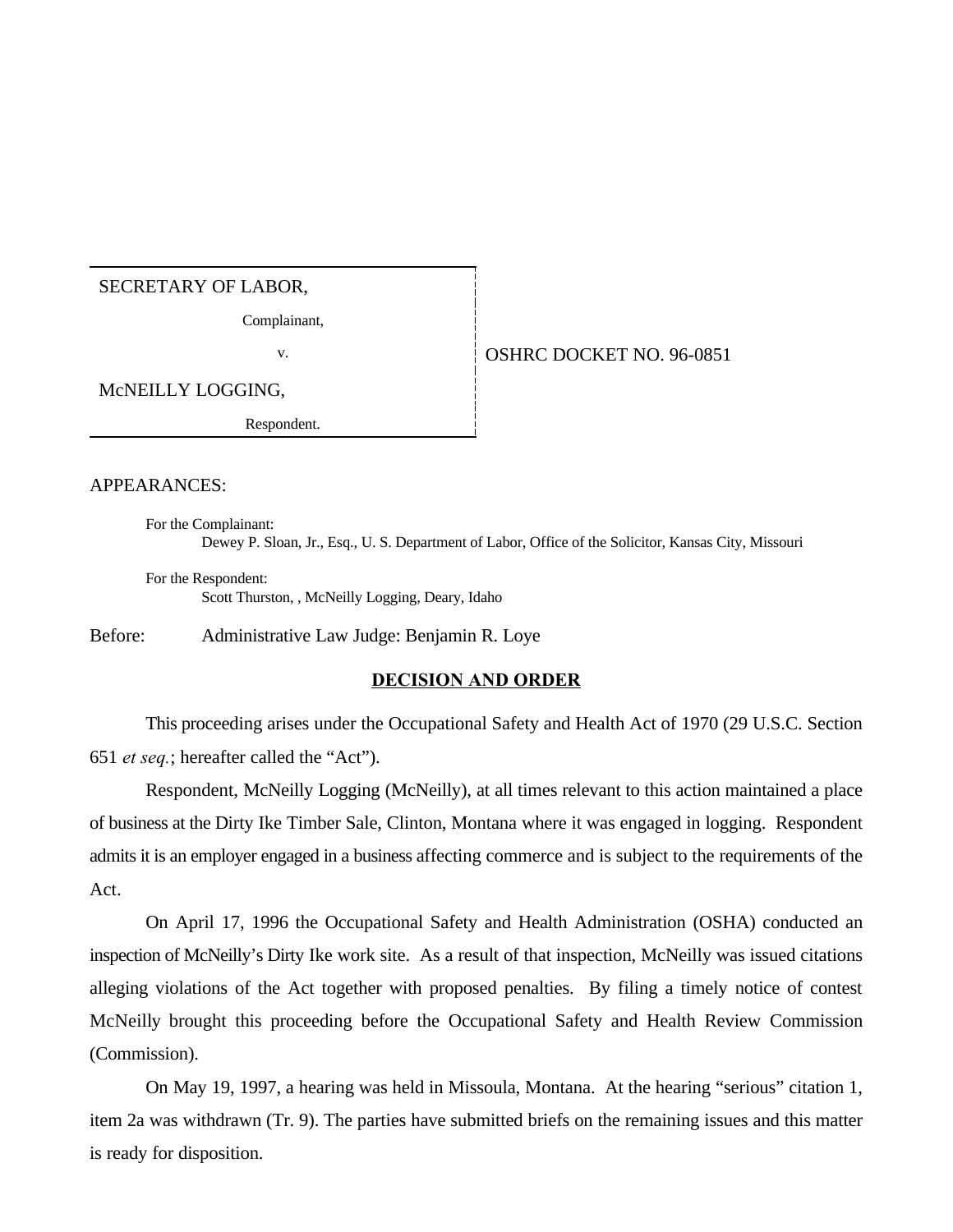# SECRETARY OF LABOR,

Complainant,

# v. 696-0851

McNEILLY LOGGING,

Respondent.

#### APPEARANCES:

For the Complainant: Dewey P. Sloan, Jr., Esq., U. S. Department of Labor, Office of the Solicitor, Kansas City, Missouri

For the Respondent: Scott Thurston, , McNeilly Logging, Deary, Idaho

Before: Administrative Law Judge: Benjamin R. Loye

### **DECISION AND ORDER**

This proceeding arises under the Occupational Safety and Health Act of 1970 (29 U.S.C. Section 651 *et seq.*; hereafter called the "Act").

Respondent, McNeilly Logging (McNeilly), at all times relevant to this action maintained a place of business at the Dirty Ike Timber Sale, Clinton, Montana where it was engaged in logging. Respondent admits it is an employer engaged in a business affecting commerce and is subject to the requirements of the Act.

On April 17, 1996 the Occupational Safety and Health Administration (OSHA) conducted an inspection of McNeilly's Dirty Ike work site. As a result of that inspection, McNeilly was issued citations alleging violations of the Act together with proposed penalties. By filing a timely notice of contest McNeilly brought this proceeding before the Occupational Safety and Health Review Commission (Commission).

On May 19, 1997, a hearing was held in Missoula, Montana. At the hearing "serious" citation 1, item 2a was withdrawn (Tr. 9). The parties have submitted briefs on the remaining issues and this matter is ready for disposition.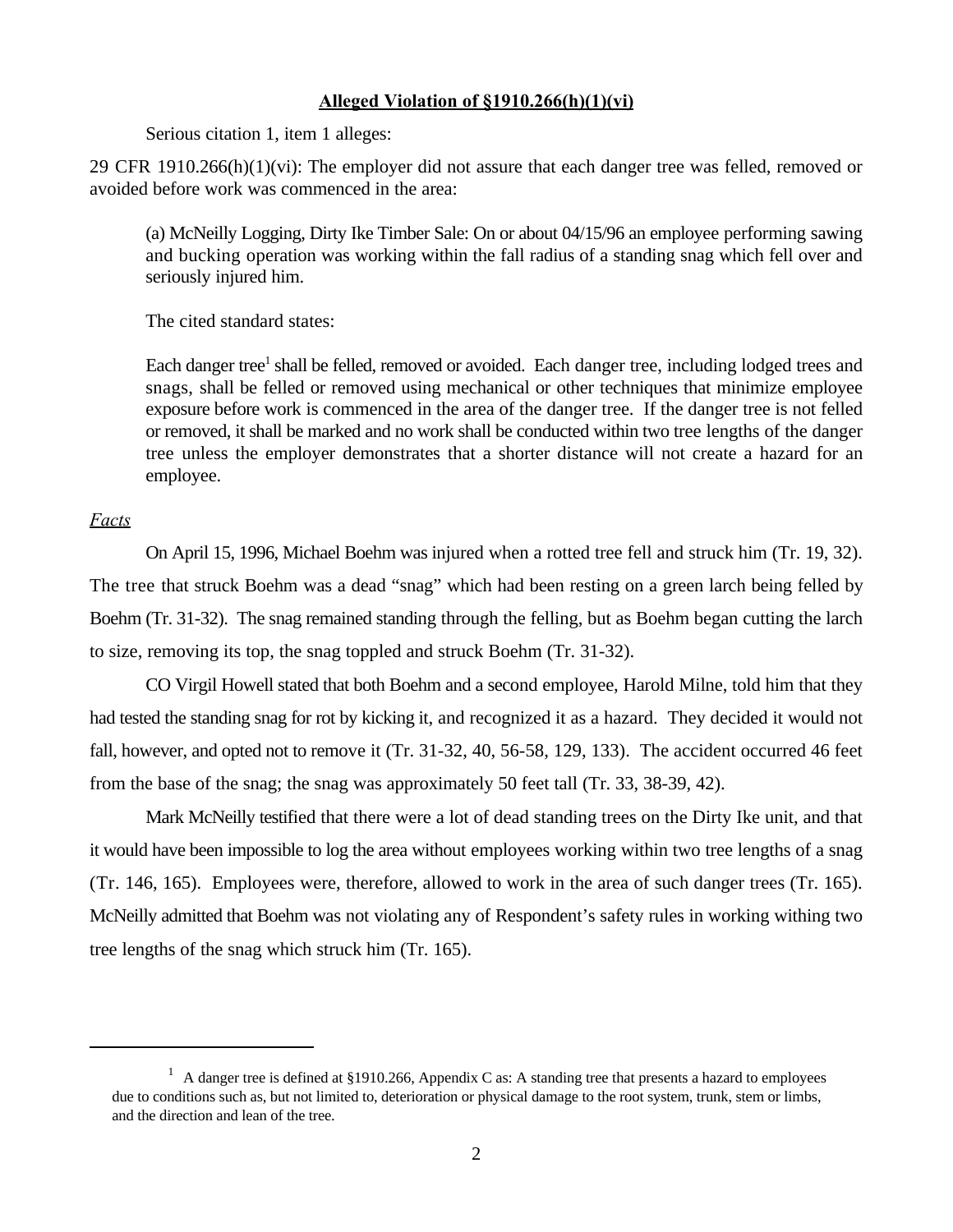## **Alleged Violation of §1910.266(h)(1)(vi)**

Serious citation 1, item 1 alleges:

29 CFR 1910.266(h)(1)(vi): The employer did not assure that each danger tree was felled, removed or avoided before work was commenced in the area:

(a) McNeilly Logging, Dirty Ike Timber Sale: On or about 04/15/96 an employee performing sawing and bucking operation was working within the fall radius of a standing snag which fell over and seriously injured him.

The cited standard states:

Each danger tree<sup>1</sup> shall be felled, removed or avoided. Each danger tree, including lodged trees and snags, shall be felled or removed using mechanical or other techniques that minimize employee exposure before work is commenced in the area of the danger tree. If the danger tree is not felled or removed, it shall be marked and no work shall be conducted within two tree lengths of the danger tree unless the employer demonstrates that a shorter distance will not create a hazard for an employee.

## *Facts*

On April 15, 1996, Michael Boehm was injured when a rotted tree fell and struck him (Tr. 19, 32). The tree that struck Boehm was a dead "snag" which had been resting on a green larch being felled by Boehm (Tr. 31-32). The snag remained standing through the felling, but as Boehm began cutting the larch to size, removing its top, the snag toppled and struck Boehm (Tr. 31-32).

CO Virgil Howell stated that both Boehm and a second employee, Harold Milne, told him that they had tested the standing snag for rot by kicking it, and recognized it as a hazard. They decided it would not fall, however, and opted not to remove it (Tr. 31-32, 40, 56-58, 129, 133). The accident occurred 46 feet from the base of the snag; the snag was approximately 50 feet tall (Tr. 33, 38-39, 42).

Mark McNeilly testified that there were a lot of dead standing trees on the Dirty Ike unit, and that it would have been impossible to log the area without employees working within two tree lengths of a snag (Tr. 146, 165). Employees were, therefore, allowed to work in the area of such danger trees (Tr. 165). McNeilly admitted that Boehm was not violating any of Respondent's safety rules in working withing two tree lengths of the snag which struck him (Tr. 165).

<sup>&</sup>lt;sup>1</sup> A danger tree is defined at §1910.266, Appendix C as: A standing tree that presents a hazard to employees due to conditions such as, but not limited to, deterioration or physical damage to the root system, trunk, stem or limbs, and the direction and lean of the tree.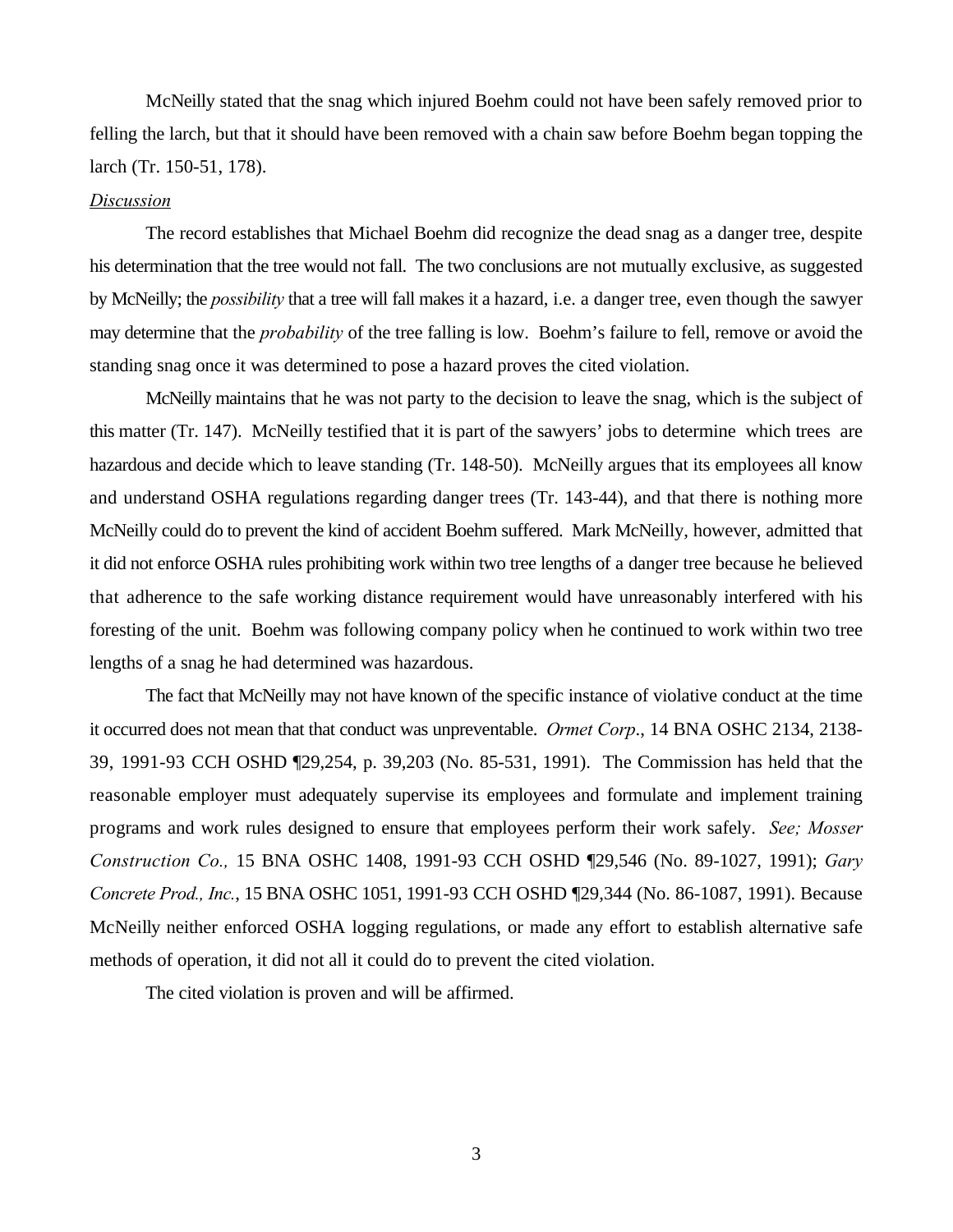McNeilly stated that the snag which injured Boehm could not have been safely removed prior to felling the larch, but that it should have been removed with a chain saw before Boehm began topping the larch (Tr. 150-51, 178).

#### *Discussion*

The record establishes that Michael Boehm did recognize the dead snag as a danger tree, despite his determination that the tree would not fall. The two conclusions are not mutually exclusive, as suggested by McNeilly; the *possibility* that a tree will fall makes it a hazard, i.e. a danger tree, even though the sawyer may determine that the *probability* of the tree falling is low. Boehm's failure to fell, remove or avoid the standing snag once it was determined to pose a hazard proves the cited violation.

McNeilly maintains that he was not party to the decision to leave the snag, which is the subject of this matter (Tr. 147). McNeilly testified that it is part of the sawyers' jobs to determine which trees are hazardous and decide which to leave standing (Tr. 148-50). McNeilly argues that its employees all know and understand OSHA regulations regarding danger trees (Tr. 143-44), and that there is nothing more McNeilly could do to prevent the kind of accident Boehm suffered. Mark McNeilly, however, admitted that it did not enforce OSHA rules prohibiting work within two tree lengths of a danger tree because he believed that adherence to the safe working distance requirement would have unreasonably interfered with his foresting of the unit. Boehm was following company policy when he continued to work within two tree lengths of a snag he had determined was hazardous.

The fact that McNeilly may not have known of the specific instance of violative conduct at the time it occurred does not mean that that conduct was unpreventable. *Ormet Corp*., 14 BNA OSHC 2134, 2138- 39, 1991-93 CCH OSHD ¶29,254, p. 39,203 (No. 85-531, 1991). The Commission has held that the reasonable employer must adequately supervise its employees and formulate and implement training programs and work rules designed to ensure that employees perform their work safely. *See; Mosser Construction Co.,* 15 BNA OSHC 1408, 1991-93 CCH OSHD ¶29,546 (No. 89-1027, 1991); *Gary Concrete Prod., Inc.*, 15 BNA OSHC 1051, 1991-93 CCH OSHD ¶29,344 (No. 86-1087, 1991). Because McNeilly neither enforced OSHA logging regulations, or made any effort to establish alternative safe methods of operation, it did not all it could do to prevent the cited violation.

The cited violation is proven and will be affirmed.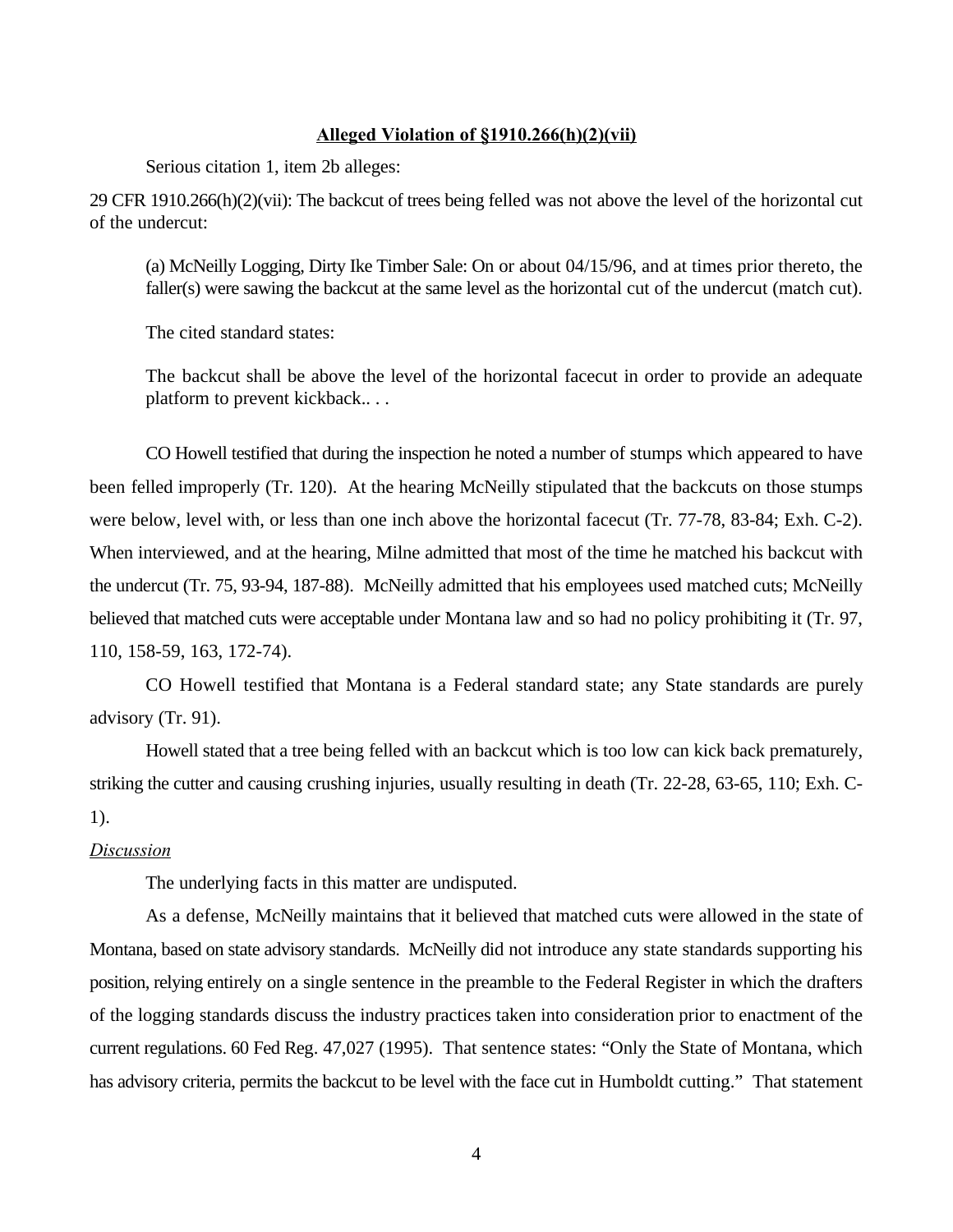### **Alleged Violation of §1910.266(h)(2)(vii)**

Serious citation 1, item 2b alleges:

29 CFR 1910.266(h)(2)(vii): The backcut of trees being felled was not above the level of the horizontal cut of the undercut:

(a) McNeilly Logging, Dirty Ike Timber Sale: On or about 04/15/96, and at times prior thereto, the faller(s) were sawing the backcut at the same level as the horizontal cut of the undercut (match cut).

The cited standard states:

The backcut shall be above the level of the horizontal facecut in order to provide an adequate platform to prevent kickback.. . .

CO Howell testified that during the inspection he noted a number of stumps which appeared to have been felled improperly (Tr. 120). At the hearing McNeilly stipulated that the backcuts on those stumps were below, level with, or less than one inch above the horizontal facecut (Tr. 77-78, 83-84; Exh. C-2). When interviewed, and at the hearing, Milne admitted that most of the time he matched his backcut with the undercut (Tr. 75, 93-94, 187-88). McNeilly admitted that his employees used matched cuts; McNeilly believed that matched cuts were acceptable under Montana law and so had no policy prohibiting it (Tr. 97, 110, 158-59, 163, 172-74).

CO Howell testified that Montana is a Federal standard state; any State standards are purely advisory (Tr. 91).

Howell stated that a tree being felled with an backcut which is too low can kick back prematurely, striking the cutter and causing crushing injuries, usually resulting in death (Tr. 22-28, 63-65, 110; Exh. C-1).

#### *Discussion*

The underlying facts in this matter are undisputed.

As a defense, McNeilly maintains that it believed that matched cuts were allowed in the state of Montana, based on state advisory standards. McNeilly did not introduce any state standards supporting his position, relying entirely on a single sentence in the preamble to the Federal Register in which the drafters of the logging standards discuss the industry practices taken into consideration prior to enactment of the current regulations. 60 Fed Reg. 47,027 (1995). That sentence states: "Only the State of Montana, which has advisory criteria, permits the backcut to be level with the face cut in Humboldt cutting." That statement